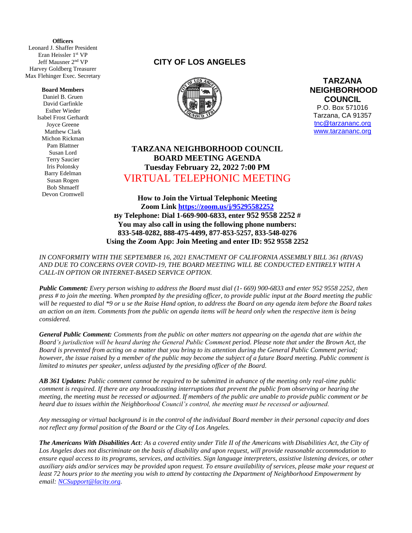**(** Leonard J. Shaffer President **Officers** Eran Heissler 1st VP Jeff Mausner 2 nd VP Harvey Goldberg Treasurer Max Flehinger Exec. Secretary

#### **Board Members**

Daniel B. Gruen David Garfinkle Esther Wieder Isabel Frost Gerhardt Joyce Greene Matthew Clark Michon Rickman Pam Blattner Susan Lord Terry Saucier Iris Polonsky Barry Edelman Susan Rogen Bob Shmaeff Devon Cromwell

## **CITY OF LOS ANGELES**



**TARZANA NEIGHBORHOOD COUNCIL**  P.O. Box 571016 Tarzana, CA 91357 [tnc@tarzananc.org](mailto:tnc@tarzananc.org) [www.tarzananc.org](http://www.tarzananc.org/)

# **TARZANA NEIGHBORHOOD COUNCIL BOARD MEETING AGENDA Tuesday February 22, 2022 7:00 PM** VIRTUAL TELEPHONIC MEETING

**How to Join the Virtual Telephonic Meeting Zoom Link<https://zoom.us/j/95295582252> By Telephone: Dial 1-669-900-6833, enter 952 9558 2252 # You may also call in using the following phone numbers: 833-548-0282, 888-475-4499, 877-853-5257, 833-548-0276 Using the Zoom App: Join Meeting and enter ID: 952 9558 2252**

*IN CONFORMITY WITH THE SEPTEMBER 16, 2021 ENACTMENT OF CALIFORNIA ASSEMBLY BILL 361 (RIVAS) AND DUE TO CONCERNS OVER COVID-19, THE BOARD MEETING WILL BE CONDUCTED ENTIRELY WITH A CALL-IN OPTION OR INTERNET-BASED SERVICE OPTION.* 

*Public Comment: Every person wishing to address the Board must dial (1- 669) 900-6833 and enter 952 9558 2252, then press # to join the meeting. When prompted by the presiding officer, to provide public input at the Board meeting the public will be requested to dial \*9 or u se the Raise Hand option, to address the Board on any agenda item before the Board takes an action on an item. Comments from the public on agenda items will be heard only when the respective item is being considered.*

*General Public Comment: Comments from the public on other matters not appearing on the agenda that are within the Board's jurisdiction will be heard during the General Public Comment period. Please note that under the Brown Act, the Board is prevented from acting on a matter that you bring to its attention during the General Public Comment period; however, the issue raised by a member of the public may become the subject of a future Board meeting. Public comment is limited to minutes per speaker, unless adjusted by the presiding officer of the Board.*

*AB 361 Updates: Public comment cannot be required to be submitted in advance of the meeting only real-time public comment is required. If there are any broadcasting interruptions that prevent the public from observing or hearing the meeting, the meeting must be recessed or adjourned. If members of the public are unable to provide public comment or be heard due to issues within the Neighborhood Council's control, the meeting must be recessed or adjourned.*

*Any messaging or virtual background is in the control of the individual Board member in their personal capacity and does not reflect any formal position of the Board or the City of Los Angeles.*

*The Americans With Disabilities Act: As a covered entity under Title II of the Americans with Disabilities Act, the City of Los Angeles does not discriminate on the basis of disability and upon request, will provide reasonable accommodation to ensure equal access to its programs, services, and activities. Sign language interpreters, assistive listening devices, or other auxiliary aids and/or services may be provided upon request. To ensure availability of services, please make your request at least 72 hours prior to the meeting you wish to attend by contacting the Department of Neighborhood Empowerment by email: [NCSupport@lacity.org.](mailto:NCSupport@lacity.org)*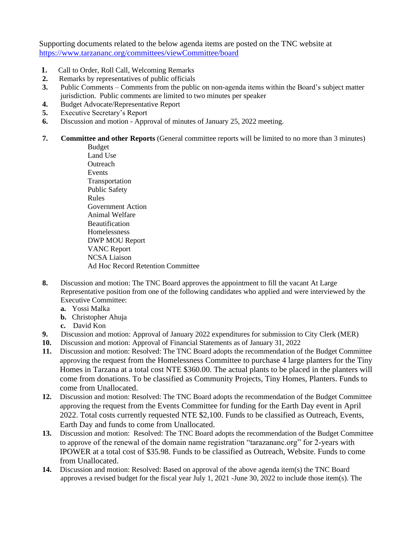Supporting documents related to the below agenda items are posted on the TNC website at <https://www.tarzananc.org/committees/viewCommittee/board>

- **1.** Call to Order, Roll Call, Welcoming Remarks
- **2.** Remarks by representatives of public officials
- **3.** Public Comments Comments from the public on non-agenda items within the Board's subject matter jurisdiction. Public comments are limited to two minutes per speaker
- **4.** Budget Advocate/Representative Report
- **5.** Executive Secretary's Report
- **6.** Discussion and motion Approval of minutes of January 25, 2022 meeting.
- **7. Committee and other Reports** (General committee reports will be limited to no more than 3 minutes)

Budget Land Use **Outreach** Events Transportation Public Safety Rules Government Action Animal Welfare Beautification Homelessness DWP MOU Report VANC Report NCSA Liaison Ad Hoc Record Retention Committee

- **8.** Discussion and motion: The TNC Board approves the appointment to fill the vacant At Large Representative position from one of the following candidates who applied and were interviewed by the Executive Committee:
	- **a.** Yossi Malka
	- **b.** Christopher Ahuja
	- **c.** David Kon
- **9.** Discussion and motion: Approval of January 2022 expenditures for submission to City Clerk (MER)
- **10.** Discussion and motion: Approval of Financial Statements as of January 31, 2022
- **11.** Discussion and motion: Resolved: The TNC Board adopts the recommendation of the Budget Committee approving the request from the Homelessness Committee to purchase 4 large planters for the Tiny Homes in Tarzana at a total cost NTE \$360.00. The actual plants to be placed in the planters will come from donations. To be classified as Community Projects, Tiny Homes, Planters. Funds to come from Unallocated.
- **12.** Discussion and motion: Resolved: The TNC Board adopts the recommendation of the Budget Committee approving the request from the Events Committee for funding for the Earth Day event in April 2022. Total costs currently requested NTE \$2,100. Funds to be classified as Outreach, Events, Earth Day and funds to come from Unallocated.
- **13.** Discussion and motion: Resolved: The TNC Board adopts the recommendation of the Budget Committee to approve of the renewal of the domain name registration "tarazananc.org" for 2-years with IPOWER at a total cost of \$35.98. Funds to be classified as Outreach, Website. Funds to come from Unallocated.
- **14.** Discussion and motion: Resolved: Based on approval of the above agenda item(s) the TNC Board approves a revised budget for the fiscal year July 1, 2021 -June 30, 2022 to include those item(s). The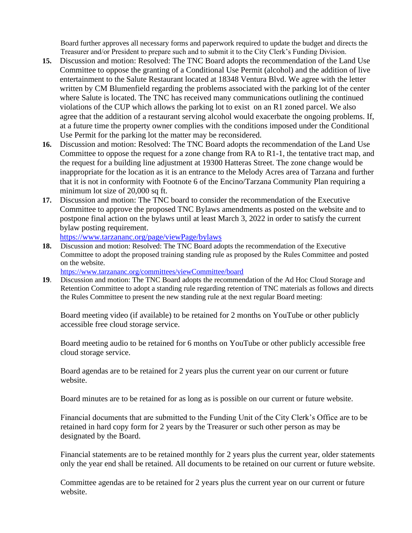Board further approves all necessary forms and paperwork required to update the budget and directs the Treasurer and/or President to prepare such and to submit it to the City Clerk's Funding Division.

- **15.** Discussion and motion: Resolved: The TNC Board adopts the recommendation of the Land Use Committee to oppose the granting of a Conditional Use Permit (alcohol) and the addition of live entertainment to the Salute Restaurant located at 18348 Ventura Blvd. We agree with the letter written by CM Blumenfield regarding the problems associated with the parking lot of the center where Salute is located. The TNC has received many communications outlining the continued violations of the CUP which allows the parking lot to exist on an R1 zoned parcel. We also agree that the addition of a restaurant serving alcohol would exacerbate the ongoing problems. If, at a future time the property owner complies with the conditions imposed under the Conditional Use Permit for the parking lot the matter may be reconsidered.
- **16.** Discussion and motion: Resolved: The TNC Board adopts the recommendation of the Land Use Committee to oppose the request for a zone change from RA to R1-1, the tentative tract map, and the request for a building line adjustment at 19300 Hatteras Street. The zone change would be inappropriate for the location as it is an entrance to the Melody Acres area of Tarzana and further that it is not in conformity with Footnote 6 of the Encino/Tarzana Community Plan requiring a minimum lot size of 20,000 sq ft.
- **17.** Discussion and motion: The TNC board to consider the recommendation of the Executive Committee to approve the proposed TNC Bylaws amendments as posted on the website and to postpone final action on the bylaws until at least March 3, 2022 in order to satisfy the current bylaw posting requirement.

<https://www.tarzananc.org/page/viewPage/bylaws>

**18.** Discussion and motion: Resolved: The TNC Board adopts the recommendation of the Executive Committee to adopt the proposed training standing rule as proposed by the Rules Committee and posted on the website.

[https://www.tarzananc.org/committees/viewCommittee/board](https://www.tarzananc.org/committees/viewCommittee/board%2019) 

**[19](https://www.tarzananc.org/committees/viewCommittee/board%2019)**. Discussion and motion: The TNC Board adopts the recommendation of the Ad Hoc Cloud Storage and Retention Committee to adopt a standing rule regarding retention of TNC materials as follows and directs the Rules Committee to present the new standing rule at the next regular Board meeting:

Board meeting video (if available) to be retained for 2 months on YouTube or other publicly accessible free cloud storage service.

Board meeting audio to be retained for 6 months on YouTube or other publicly accessible free cloud storage service.

Board agendas are to be retained for 2 years plus the current year on our current or future website.

Board minutes are to be retained for as long as is possible on our current or future website.

Financial documents that are submitted to the Funding Unit of the City Clerk's Office are to be retained in hard copy form for 2 years by the Treasurer or such other person as may be designated by the Board.

Financial statements are to be retained monthly for 2 years plus the current year, older statements only the year end shall be retained. All documents to be retained on our current or future website.

Committee agendas are to be retained for 2 years plus the current year on our current or future website.